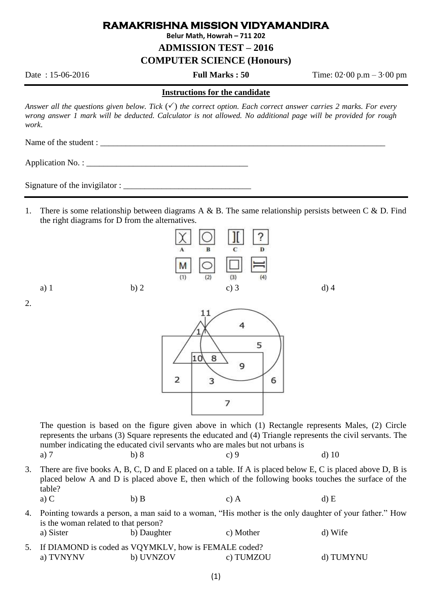## **RAMAKRISHNA MISSION VIDYAMANDIRA**

**Belur Math, Howrah – 711 202**

**ADMISSION TEST – 2016**

**COMPUTER SCIENCE (Honours)**

Date : 15-06-2016 **Full Marks : 50** Time: 02·00 p.m – 3·00 pm

#### **Instructions for the candidate**

*Answer all the questions given below. Tick*  $(\checkmark)$  *the correct option. Each correct answer carries 2 marks. For every wrong answer 1 mark will be deducted. Calculator is not allowed. No additional page will be provided for rough work*.

Name of the student : \_\_\_\_\_\_\_\_\_\_\_\_\_\_\_\_\_\_\_\_\_\_\_\_\_\_\_\_\_\_\_\_\_\_\_\_\_\_\_\_\_\_\_\_\_\_\_\_\_\_\_\_\_\_\_\_\_\_\_\_\_\_\_\_\_\_\_

Application No. : \_\_\_\_\_\_\_\_\_\_\_\_\_\_\_\_\_\_\_\_\_\_\_\_\_\_\_\_\_\_\_\_\_\_\_\_\_\_

Signature of the invigilator :

1. There is some relationship between diagrams A & B. The same relationship persists between C & D. Find the right diagrams for D from the alternatives.



2.



The question is based on the figure given above in which (1) Rectangle represents Males, (2) Circle represents the urbans (3) Square represents the educated and (4) Triangle represents the civil servants. The number indicating the educated civil servants who are males but not urbans is a) 7 b) 8 c) 9 d) 10

3. There are five books A, B, C, D and E placed on a table. If A is placed below E, C is placed above D, B is placed below A and D is placed above E, then which of the following books touches the surface of the table?

a) C b) B c) A d) E 4. Pointing towards a person, a man said to a woman, "His mother is the only daughter of your father." How is the woman related to that person? a) Sister b) Daughter c) Mother d) Wife

5. If DIAMOND is coded as VQYMKLV, how is FEMALE coded? a) TVNYNV b) UVNZOV c) TUMZOU d) TUMYNU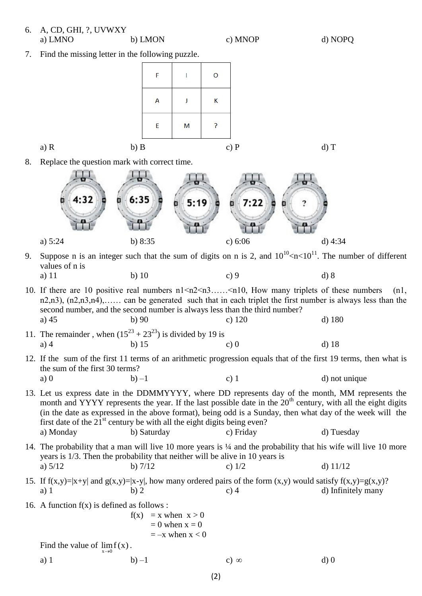### 6. A, CD, GHI, ?, UVWXY a) LMNO b) LMON c) MNOP d) NOPQ

7. Find the missing letter in the following puzzle.



8. Replace the question mark with correct time.



- 9. Suppose n is an integer such that the sum of digits on n is 2, and  $10^{10}$  <n < 10<sup>11</sup>. The number of different values of n is
	- a) 11 b) 10 c) 9 d) 8
- 10. If there are 10 positive real numbers  $n1 \le n2 \le n3$ ..... $\le n10$ , How many triplets of these numbers (n1, n2,n3), (n2,n3,n4),…… can be generated such that in each triplet the first number is always less than the second number, and the second number is always less than the third number? a) 45 b) 90 c) 120 d) 180
- 11. The remainder, when  $(15^{23} + 23^{23})$  is divided by 19 is a) 4 b) 15 c) 0 d) 18
- 12. If the sum of the first 11 terms of an arithmetic progression equals that of the first 19 terms, then what is the sum of the first 30 terms? a) 0 b) –1 c) 1 d) not unique
- 13. Let us express date in the DDMMYYYY, where DD represents day of the month, MM represents the month and YYYY represents the year. If the last possible date in the  $20<sup>th</sup>$  century, with all the eight digits (in the date as expressed in the above format), being odd is a Sunday, then what day of the week will the first date of the  $21<sup>st</sup>$  century be with all the eight digits being even? a) Monday b) Saturday c) Friday d) Tuesday
- 14. The probability that a man will live 10 more years is ¼ and the probability that his wife will live 10 more years is 1/3. Then the probability that neither will be alive in 10 years is a)  $5/12$  b)  $7/12$  c)  $1/2$  d)  $11/12$
- 15. If  $f(x,y)=|x+y|$  and  $g(x,y)=|x-y|$ , how many ordered pairs of the form  $(x,y)$  would satisfy  $f(x,y)=g(x,y)$ ? a) 1 b) 2 c) 4 d) Infinitely many
- 16. A function  $f(x)$  is defined as follows :

$$
f(x) = x when x > 0
$$
  
= 0 when x = 0  
= -x when x < 0  

$$
\lim_{x\to 0} f(x).
$$

Find the value of

a) 1 b) –1 c)  $\infty$  d) 0